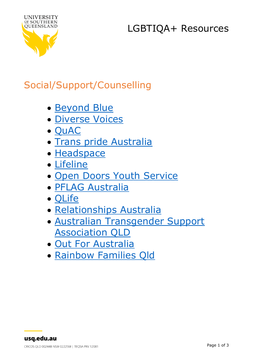## LGBTIQA+ Resources



## Social/Support/Counselling

- [Beyond Blue](https://www.beyondblue.org.au/)
- [Diverse Voices](https://www.diversevoices.org.au/)
- [QuAC](https://quac.org.au/)
- [Trans pride Australia](https://transprideaustralia.org.au/)
- [Headspace](https://headspace.org.au/)
- [Lifeline](https://www.lifeline.org.au/)
- [Open Doors Youth Service](https://www.opendoors.net.au/)
- [PFLAG Australia](https://pflagaustralia.org.au/)
- [QLife](https://qlife.org.au/)
- [Relationships Australia](https://relationships.org.au/)
- [Australian Transgender Support](https://atsaq.org.au/)  [Association QLD](https://atsaq.org.au/)
- [Out For Australia](https://www.outforaustralia.org/)
- [Rainbow Families Qld](https://www.rainbowfamiliesqld.com.au/)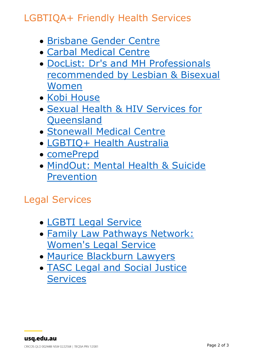## LGBTIQA+ Friendly Health Services

- [Brisbane Gender Centre](https://www.brisbanegenderclinic.com.au/)
- [Carbal Medical Centre](https://carbal.com.au/)
- [DocList: Dr's and MH Professionals](http://www.doclist.com.au/)  [recommended by Lesbian & Bisexual](http://www.doclist.com.au/)  [Women](http://www.doclist.com.au/)
- [Kobi House](https://www.health.qld.gov.au/darlingdowns/our-services/public-medicine)
- [Sexual Health & HIV Services for](https://www.health.qld.gov.au/clinical-practice/guidelines-procedures/sex-health/services/find-service)  **[Queensland](https://www.health.qld.gov.au/clinical-practice/guidelines-procedures/sex-health/services/find-service)**
- [Stonewall Medical Centre](https://www.stonewall.com.au/)
- [LGBTIQ+ Health Australia](https://www.lgbtiqhealth.org.au/)
- [comePrepd](https://www.comeprepd.info/)
- [MindOut: Mental Health & Suicide](https://www.lgbtiqhealth.org.au/mindout)  [Prevention](https://www.lgbtiqhealth.org.au/mindout)

## Legal Services

- [LGBTI Legal Service](http://www.lgbtilegalservice.org/)
- [Family Law Pathways Network:](https://www.qldfamilylawnet.org.au/referrals/greater-brisbane/womens-legal-service)  [Women's Legal Service](https://www.qldfamilylawnet.org.au/referrals/greater-brisbane/womens-legal-service)
- [Maurice Blackburn Lawyers](https://www.mauriceblackburn.com.au/about/about-maurice-blackburn-lawyers/)
- [TASC Legal and Social Justice](https://www.tascnational.org.au/)  **[Services](https://www.tascnational.org.au/)**